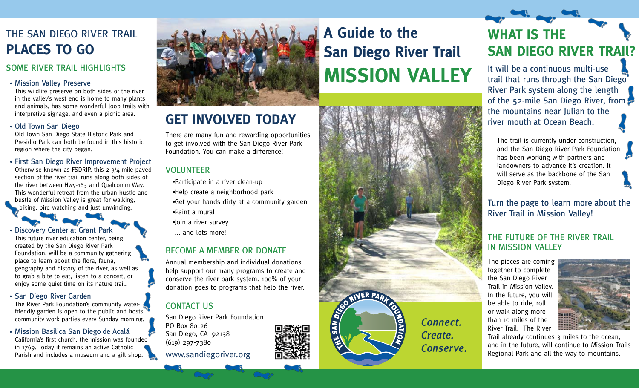### THE SAN DIEGO RIVER TRAIL **PLACES TO GO**

#### SOME RIVER TRAIL HIGHLIGHTS

This wildlife preserve on both sides of the river in the valley's west end is home to many plants and animals, has some wonderful loop trails with interpretive signage, and even a picnic area.

#### Old Town San Diego

Old Town San Diego State Historic Park and Presidio Park can both be found in this historic region where the city began.

First San Diego River Improvement Project Otherwise known as FSDRIP, this 2-3/4 mile paved section of the river trail runs along both sides of the river between Hwy-163 and Qualcomm Way. This wonderful retreat from the urban hustle and bustle of Mission Valley is great for walking, biking, bird watching and just unwinding.

Discovery Center at Grant Park This future river education center, being created by the San Diego River Park Foundation, will be a community gathering place to learn about the flora, fauna, geography and history of the river, as well as to grab a bite to eat, listen to a concert, or enjoy some quiet time on its nature trail.

#### • San Diego River Garden

The River Park Foundation's community waterfriendly garden is open to the public and hosts community work parties every Sunday morning.

• Mission Basilica San Diego de Acalá California's first church, the mission was founded in 1769. Today it remains an active Catholic Parish and includes a museum and a gift shop.



### **GET INVOLVED TODAY**

There are many fun and rewarding opportunities to get involved with the San Diego River Park Foundation. You can make a difference!

#### VOLUNTEER

- Participate in a river clean-up Help create a neighborhood park Get your hands dirty at a community garden
- Paint a mural
- Join a river survey
- ... and lots more!

#### BECOME A MEMBER OR DONATE

Annual membership and individual donations help support our many programs to create and conserve the river park system. 100% of your donation goes to programs that help the river.

#### CONTACT US

San Diego River Park Foundation PO Box 80126 San Diego, CA 92138 (619) 297-7380 www.sandiegoriver.org





## **WHAT IS THE SAN DIEGO RIVER TRAIl?**

It will be a continuous multi-use trail that runs through the San Diego River Park system along the length of the 52-mile San Diego River, from the mountains near Julian to the river mouth at Ocean Beach.

The trail is currently under construction, and the San Diego River Park Foundation has been working with partners and landowners to advance it's creation. It will serve as the backbone of the San Diego River Park system.

Turn the page to learn more about the River Trail in Mission Valley!

### THE FUTURE OF THE RIVER TRAIL IN MISSION VALLEY

The pieces are coming together to complete the San Diego River Trail in Mission Valley. In the future, you will be able to ride, roll or walk along more than 10 miles of the River Trail. The River



Trail already continues 3 miles to the ocean, and in the future, will continue to Mission Trails Regional Park and all the way to mountains.